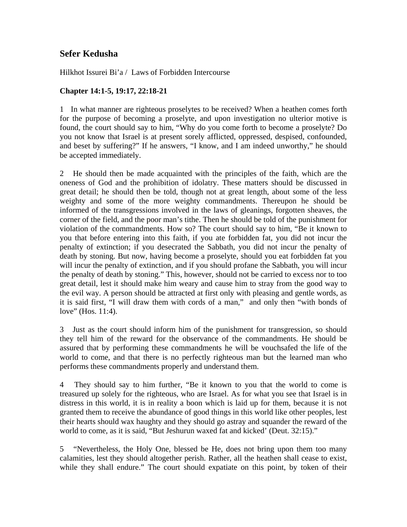## **Sefer Kedusha**

Hilkhot Issurei Bi'a / Laws of Forbidden Intercourse

## **Chapter 14:1-5, 19:17, 22:18-21**

1 In what manner are righteous proselytes to be received? When a heathen comes forth for the purpose of becoming a proselyte, and upon investigation no ulterior motive is found, the court should say to him, "Why do you come forth to become a proselyte? Do you not know that Israel is at present sorely afflicted, oppressed, despised, confounded, and beset by suffering?" If he answers, "I know, and I am indeed unworthy," he should be accepted immediately.

2 He should then be made acquainted with the principles of the faith, which are the oneness of God and the prohibition of idolatry. These matters should be discussed in great detail; he should then be told, though not at great length, about some of the less weighty and some of the more weighty commandments. Thereupon he should be informed of the transgressions involved in the laws of gleanings, forgotten sheaves, the corner of the field, and the poor man's tithe. Then he should be told of the punishment for violation of the commandments. How so? The court should say to him, "Be it known to you that before entering into this faith, if you ate forbidden fat, you did not incur the penalty of extinction; if you desecrated the Sabbath, you did not incur the penalty of death by stoning. But now, having become a proselyte, should you eat forbidden fat you will incur the penalty of extinction, and if you should profane the Sabbath, you will incur the penalty of death by stoning." This, however, should not be carried to excess nor to too great detail, lest it should make him weary and cause him to stray from the good way to the evil way. A person should be attracted at first only with pleasing and gentle words, as it is said first, "I will draw them with cords of a man," and only then "with bonds of love" (Hos. 11:4).

3 Just as the court should inform him of the punishment for transgression, so should they tell him of the reward for the observance of the commandments. He should be assured that by performing these commandments he will be vouchsafed the life of the world to come, and that there is no perfectly righteous man but the learned man who performs these commandments properly and understand them.

4 They should say to him further, "Be it known to you that the world to come is treasured up solely for the righteous, who are Israel. As for what you see that Israel is in distress in this world, it is in reality a boon which is laid up for them, because it is not granted them to receive the abundance of good things in this world like other peoples, lest their hearts should wax haughty and they should go astray and squander the reward of the world to come, as it is said, "But Jeshurun waxed fat and kicked' (Deut. 32:15)."

5 "Nevertheless, the Holy One, blessed be He, does not bring upon them too many calamities, lest they should altogether perish. Rather, all the heathen shall cease to exist, while they shall endure." The court should expatiate on this point, by token of their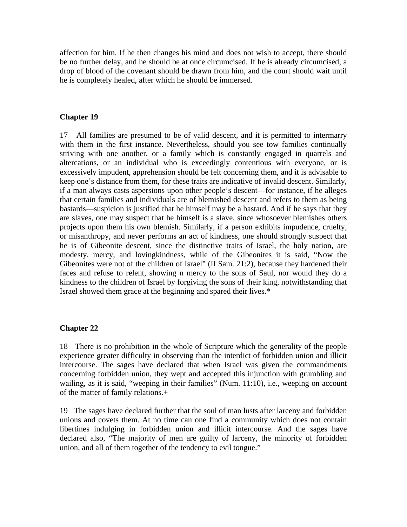affection for him. If he then changes his mind and does not wish to accept, there should be no further delay, and he should be at once circumcised. If he is already circumcised, a drop of blood of the covenant should be drawn from him, and the court should wait until he is completely healed, after which he should be immersed.

## **Chapter 19**

17 All families are presumed to be of valid descent, and it is permitted to intermarry with them in the first instance. Nevertheless, should you see tow families continually striving with one another, or a family which is constantly engaged in quarrels and altercations, or an individual who is exceedingly contentious with everyone, or is excessively impudent, apprehension should be felt concerning them, and it is advisable to keep one's distance from them, for these traits are indicative of invalid descent. Similarly, if a man always casts aspersions upon other people's descent—for instance, if he alleges that certain families and individuals are of blemished descent and refers to them as being bastards—suspicion is justified that he himself may be a bastard. And if he says that they are slaves, one may suspect that he himself is a slave, since whosoever blemishes others projects upon them his own blemish. Similarly, if a person exhibits impudence, cruelty, or misanthropy, and never performs an act of kindness, one should strongly suspect that he is of Gibeonite descent, since the distinctive traits of Israel, the holy nation, are modesty, mercy, and lovingkindness, while of the Gibeonites it is said, "Now the Gibeonites were not of the children of Israel" (II Sam. 21:2), because they hardened their faces and refuse to relent, showing n mercy to the sons of Saul, nor would they do a kindness to the children of Israel by forgiving the sons of their king, notwithstanding that Israel showed them grace at the beginning and spared their lives.\*

## **Chapter 22**

18 There is no prohibition in the whole of Scripture which the generality of the people experience greater difficulty in observing than the interdict of forbidden union and illicit intercourse. The sages have declared that when Israel was given the commandments concerning forbidden union, they wept and accepted this injunction with grumbling and wailing, as it is said, "weeping in their families" (Num. 11:10), i.e., weeping on account of the matter of family relations.+

19 The sages have declared further that the soul of man lusts after larceny and forbidden unions and covets them. At no time can one find a community which does not contain libertines indulging in forbidden union and illicit intercourse. And the sages have declared also, "The majority of men are guilty of larceny, the minority of forbidden union, and all of them together of the tendency to evil tongue."